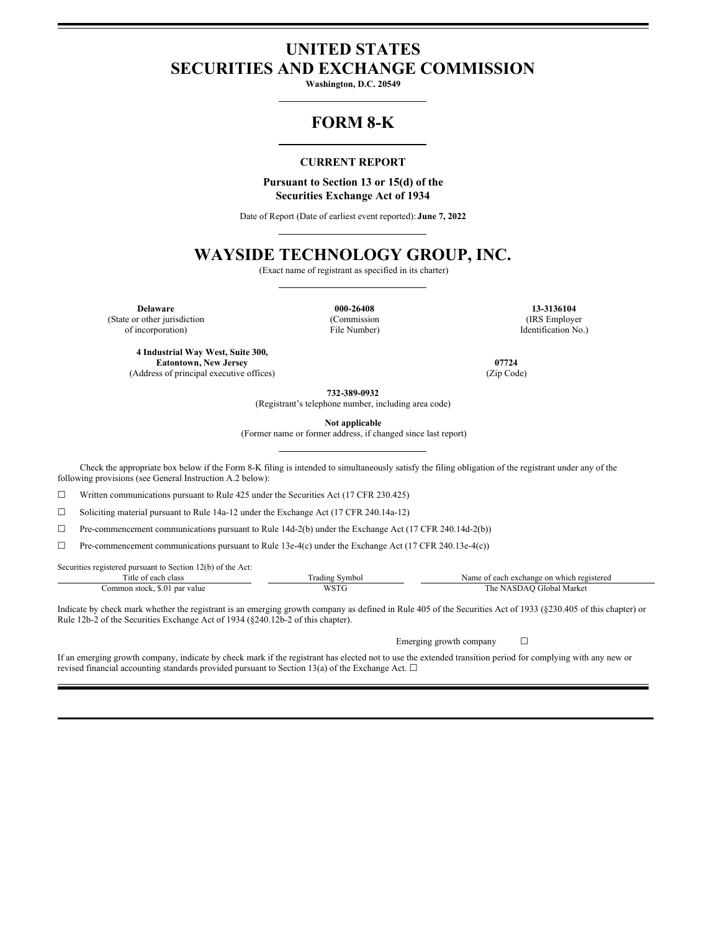# **UNITED STATES SECURITIES AND EXCHANGE COMMISSION**

**Washington, D.C. 20549**

## **FORM 8-K**

## **CURRENT REPORT**

#### **Pursuant to Section 13 or 15(d) of the Securities Exchange Act of 1934**

Date of Report (Date of earliest event reported): **June 7, 2022**

## **WAYSIDE TECHNOLOGY GROUP, INC.**

(Exact name of registrant as specified in its charter)

**Delaware 000-26408 13-3136104** (State or other jurisdiction of incorporation)

(Commission File Number)

(IRS Employer Identification No.)

**4 Industrial Way West, Suite 300, Eatontown, New Jersey 07724** (Address of principal executive offices) (Zip Code)

**732-389-0932**

(Registrant's telephone number, including area code)

**Not applicable**

(Former name or former address, if changed since last report)

Check the appropriate box below if the Form 8-K filing is intended to simultaneously satisfy the filing obligation of the registrant under any of the following provisions (see General Instruction A.2 below):

 $\Box$  Written communications pursuant to Rule 425 under the Securities Act (17 CFR 230.425)

☐ Soliciting material pursuant to Rule 14a-12 under the Exchange Act (17 CFR 240.14a-12)

☐ Pre-commencement communications pursuant to Rule 14d-2(b) under the Exchange Act (17 CFR 240.14d-2(b))

 $\Box$  Pre-commencement communications pursuant to Rule 13e-4(c) under the Exchange Act (17 CFR 240.13e-4(c))

Securities registered pursuant to Section 12(b) of the Act:

| $\sim$<br>. itle<br>clas.<br>വ             | –<br>. radıng<br>Symbo | .vame<br>registered<br>each<br>a exchange<br>which<br>∶on |
|--------------------------------------------|------------------------|-----------------------------------------------------------|
| par value<br>:ommon stock<br>5.0<br>.<br>. | $\sim$                 | . he<br>Gilobal<br>Mark                                   |

Indicate by check mark whether the registrant is an emerging growth company as defined in Rule 405 of the Securities Act of 1933 (§230.405 of this chapter) or Rule 12b-2 of the Securities Exchange Act of 1934 (§240.12b-2 of this chapter).

Emerging growth company  $\Box$ 

If an emerging growth company, indicate by check mark if the registrant has elected not to use the extended transition period for complying with any new or revised financial accounting standards provided pursuant to Section 13(a) of the Exchange Act.  $\Box$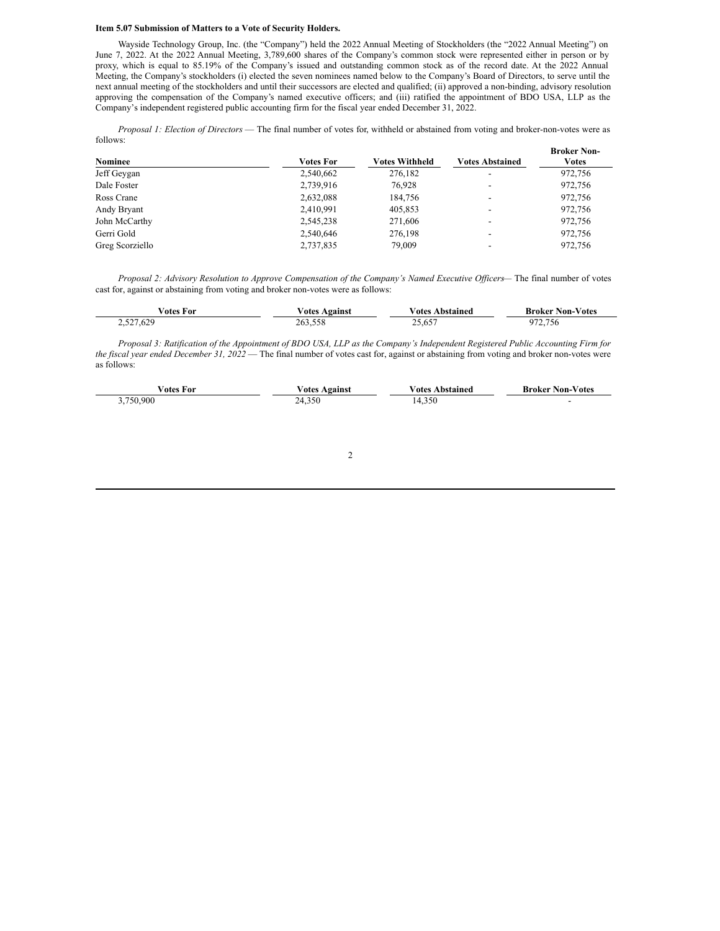### **Item 5.07 Submission of Matters to a Vote of Security Holders.**

Wayside Technology Group, Inc. (the "Company") held the 2022 Annual Meeting of Stockholders (the "2022 Annual Meeting") on June 7, 2022. At the 2022 Annual Meeting, 3,789,600 shares of the Company's common stock were represented either in person or by proxy, which is equal to 85.19% of the Company's issued and outstanding common stock as of the record date. At the 2022 Annual Meeting, the Company's stockholders (i) elected the seven nominees named below to the Company's Board of Directors, to serve until the next annual meeting of the stockholders and until their successors are elected and qualified; (ii) approved a non-binding, advisory resolution approving the compensation of the Company's named executive officers; and (iii) ratified the appointment of BDO USA, LLP as the Company's independent registered public accounting firm for the fiscal year ended December 31, 2022.

*Proposal 1: Election of Directors* — The final number of votes for, withheld or abstained from voting and broker-non-votes were as follows:

|                 |                  |                |                        | <b>Broker Non-</b> |
|-----------------|------------------|----------------|------------------------|--------------------|
| Nominee         | <b>Votes For</b> | Votes Withheld | <b>Votes Abstained</b> | Votes              |
| Jeff Geygan     | 2,540,662        | 276,182        |                        | 972.756            |
| Dale Foster     | 2,739,916        | 76.928         |                        | 972,756            |
| Ross Crane      | 2,632,088        | 184.756        |                        | 972,756            |
| Andy Bryant     | 2,410,991        | 405,853        |                        | 972,756            |
| John McCarthy   | 2,545,238        | 271,606        |                        | 972,756            |
| Gerri Gold      | 2,540,646        | 276,198        | -                      | 972.756            |
| Greg Scorziello | 2,737,835        | 79,009         |                        | 972,756            |

*Proposal 2: Advisory Resolution to Approve Compensation of the Company's Named Executive Of icers*— The final number of votes cast for, against or abstaining from voting and broker non-votes were as follows:

| otes For  | Against<br>√otes | Votes Abstained | <b>Broker Non-Votes</b> |
|-----------|------------------|-----------------|-------------------------|
| 2,527,629 | 263,558          | ---<br>25.65    | 75<br>2.150             |

Proposal 3: Ratification of the Appointment of BDO USA, LLP as the Company's Independent Registered Public Accounting Firm for *the fiscal year ended December 31, 2022* — The final number of votes cast for, against or abstaining from voting and broker non-votes were as follows:

| votes For | otes    | ⊬otes      | <b>Broker Non-</b> |
|-----------|---------|------------|--------------------|
|           | Against | \ bstained | -Votes             |
| .750.900  | 24.350  | 14,350     |                    |

#### 2